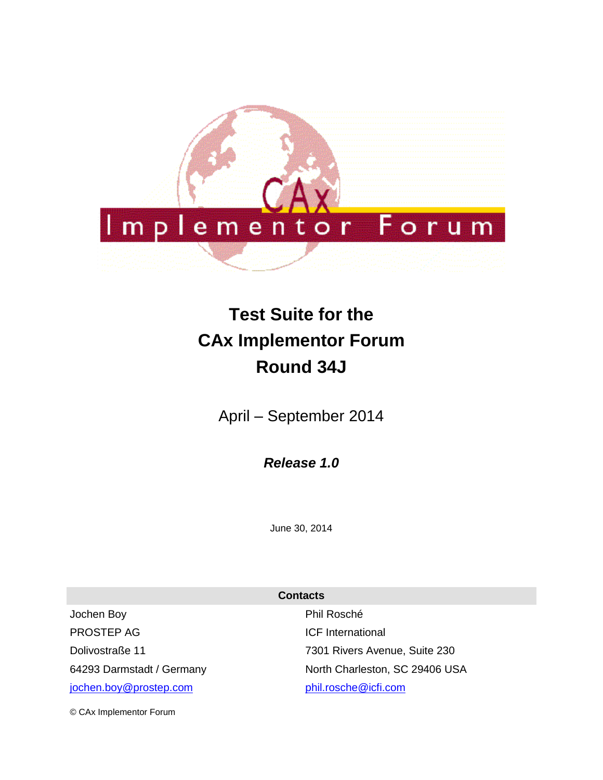

# **Test Suite for the CAx Implementor Forum Round 34J**

April – September 2014

*Release 1.0*

June 30, 2014

**Contacts**

Jochen Boy PROSTEP AG Dolivostraße 11 64293 Darmstadt / Germany [jochen.boy@prostep.com](mailto:jochen.boy@prostep.com)

Phil Rosché ICF International 7301 Rivers Avenue, Suite 230 North Charleston, SC 29406 USA [phil.rosche@icfi.com](mailto:phil.rosche@icfi.com)

© CAx Implementor Forum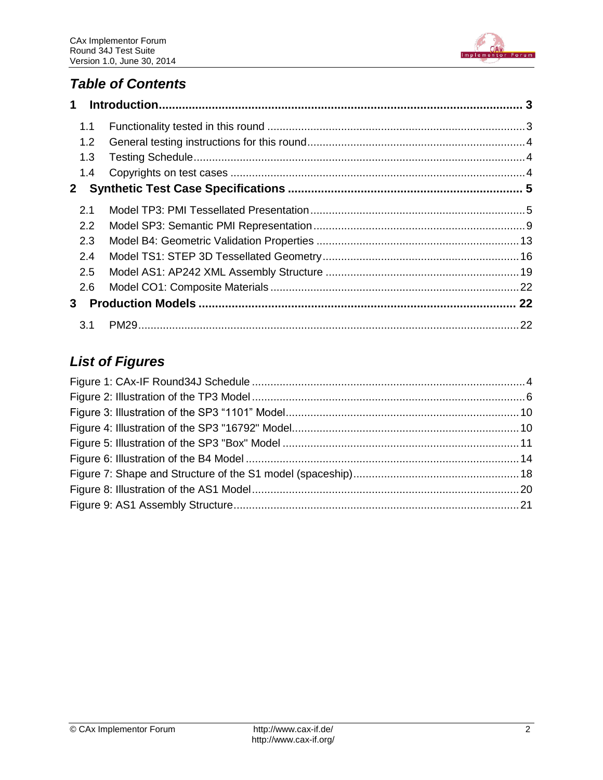

### *Table of Contents*

| $\mathbf 1$  |  |
|--------------|--|
| 1.1          |  |
| 1.2          |  |
| 1.3          |  |
| 1.4          |  |
| $\mathbf{2}$ |  |
| 2.1          |  |
| 2.2          |  |
| 2.3          |  |
| 2.4          |  |
| 2.5          |  |
| 2.6          |  |
| 3            |  |
| 3.1          |  |

## *List of Figures*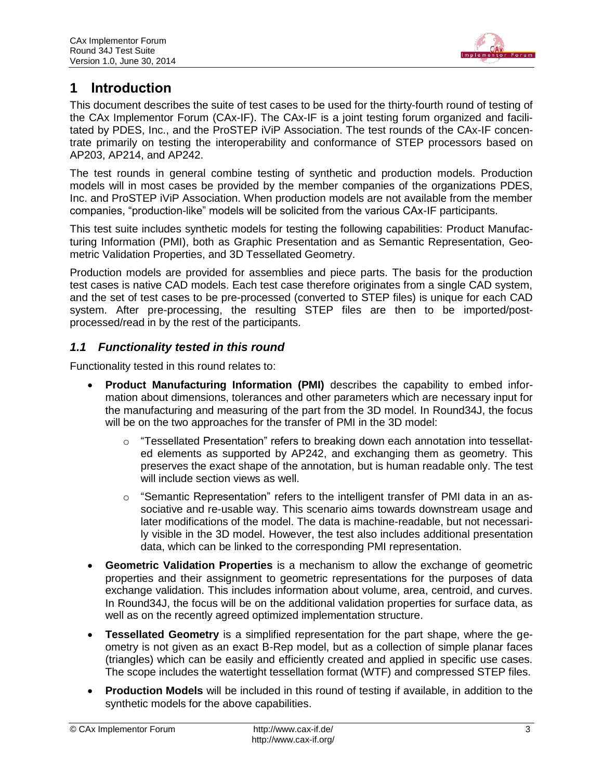

### <span id="page-2-0"></span>**1 Introduction**

This document describes the suite of test cases to be used for the thirty-fourth round of testing of the CAx Implementor Forum (CAx-IF). The CAx-IF is a joint testing forum organized and facilitated by PDES, Inc., and the ProSTEP iViP Association. The test rounds of the CAx-IF concentrate primarily on testing the interoperability and conformance of STEP processors based on AP203, AP214, and AP242.

The test rounds in general combine testing of synthetic and production models. Production models will in most cases be provided by the member companies of the organizations PDES, Inc. and ProSTEP iViP Association. When production models are not available from the member companies, "production-like" models will be solicited from the various CAx-IF participants.

This test suite includes synthetic models for testing the following capabilities: Product Manufacturing Information (PMI), both as Graphic Presentation and as Semantic Representation, Geometric Validation Properties, and 3D Tessellated Geometry.

Production models are provided for assemblies and piece parts. The basis for the production test cases is native CAD models. Each test case therefore originates from a single CAD system, and the set of test cases to be pre-processed (converted to STEP files) is unique for each CAD system. After pre-processing, the resulting STEP files are then to be imported/postprocessed/read in by the rest of the participants.

### <span id="page-2-1"></span>*1.1 Functionality tested in this round*

Functionality tested in this round relates to:

- **Product Manufacturing Information (PMI)** describes the capability to embed information about dimensions, tolerances and other parameters which are necessary input for the manufacturing and measuring of the part from the 3D model. In Round34J, the focus will be on the two approaches for the transfer of PMI in the 3D model:
	- $\circ$  "Tessellated Presentation" refers to breaking down each annotation into tessellated elements as supported by AP242, and exchanging them as geometry. This preserves the exact shape of the annotation, but is human readable only. The test will include section views as well.
	- $\circ$  "Semantic Representation" refers to the intelligent transfer of PMI data in an associative and re-usable way. This scenario aims towards downstream usage and later modifications of the model. The data is machine-readable, but not necessarily visible in the 3D model. However, the test also includes additional presentation data, which can be linked to the corresponding PMI representation.
- **Geometric Validation Properties** is a mechanism to allow the exchange of geometric properties and their assignment to geometric representations for the purposes of data exchange validation. This includes information about volume, area, centroid, and curves. In Round34J, the focus will be on the additional validation properties for surface data, as well as on the recently agreed optimized implementation structure.
- **Tessellated Geometry** is a simplified representation for the part shape, where the geometry is not given as an exact B-Rep model, but as a collection of simple planar faces (triangles) which can be easily and efficiently created and applied in specific use cases. The scope includes the watertight tessellation format (WTF) and compressed STEP files.
- **Production Models** will be included in this round of testing if available, in addition to the synthetic models for the above capabilities.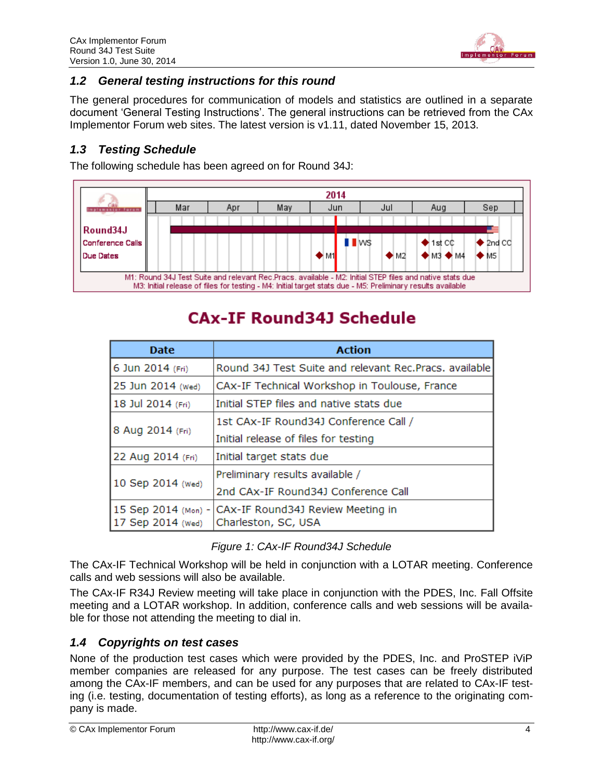

### <span id="page-3-0"></span>*1.2 General testing instructions for this round*

The general procedures for communication of models and statistics are outlined in a separate document 'General Testing Instructions'. The general instructions can be retrieved from the CAx Implementor Forum web sites. The latest version is v1.11, dated November 15, 2013.

### <span id="page-3-1"></span>*1.3 Testing Schedule*

The following schedule has been agreed on for Round 34J:



# **CAX-IF Round34J Schedule**

| <b>Date</b>                              | <b>Action</b>                                            |
|------------------------------------------|----------------------------------------------------------|
| 6 Jun 2014 (Fri)                         | Round 34J Test Suite and relevant Rec. Pracs, available  |
| 25 Jun 2014 (Wed)                        | CAx-IF Technical Workshop in Toulouse, France            |
| 18 Jul 2014 (Fri)                        | Initial STEP files and native stats due                  |
|                                          | 1st CAx-IF Round34J Conference Call /                    |
| 8 Aug 2014 (Fri)                         | Initial release of files for testing                     |
| 22 Aug 2014 (Fri)                        | Initial target stats due                                 |
|                                          | Preliminary results available /                          |
| 10 Sep 2014 (Wed)                        | 2nd CAx-IF Round34J Conference Call                      |
| 15 Sep 2014 (Mon) -<br>17 Sep 2014 (Wed) | CAX-IF Round34J Review Meeting in<br>Charleston, SC, USA |

### *Figure 1: CAx-IF Round34J Schedule*

<span id="page-3-3"></span>The CAx-IF Technical Workshop will be held in conjunction with a LOTAR meeting. Conference calls and web sessions will also be available.

The CAx-IF R34J Review meeting will take place in conjunction with the PDES, Inc. Fall Offsite meeting and a LOTAR workshop. In addition, conference calls and web sessions will be available for those not attending the meeting to dial in.

### <span id="page-3-2"></span>*1.4 Copyrights on test cases*

None of the production test cases which were provided by the PDES, Inc. and ProSTEP iViP member companies are released for any purpose. The test cases can be freely distributed among the CAx-IF members, and can be used for any purposes that are related to CAx-IF testing (i.e. testing, documentation of testing efforts), as long as a reference to the originating company is made.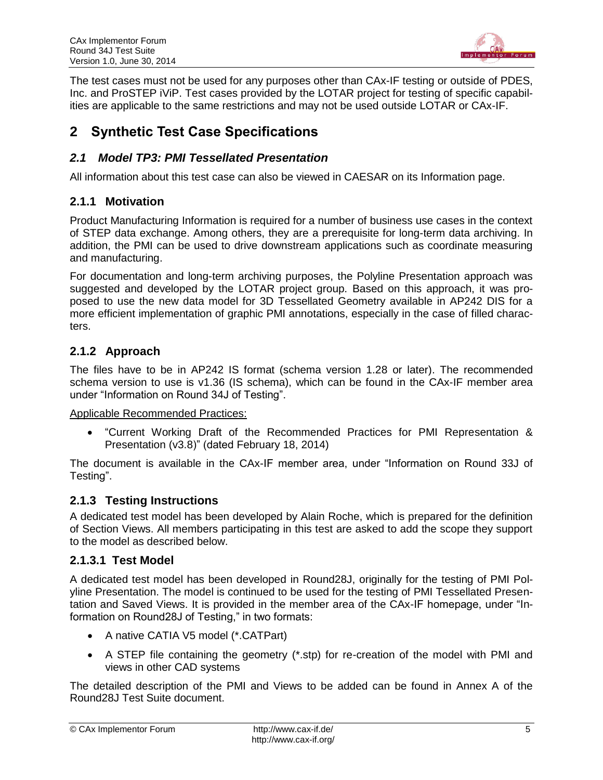

The test cases must not be used for any purposes other than CAx-IF testing or outside of PDES, Inc. and ProSTEP iViP. Test cases provided by the LOTAR project for testing of specific capabilities are applicable to the same restrictions and may not be used outside LOTAR or CAx-IF.

### <span id="page-4-0"></span>**2 Synthetic Test Case Specifications**

### <span id="page-4-1"></span>*2.1 Model TP3: PMI Tessellated Presentation*

All information about this test case can also be viewed in CAESAR on its Information page.

### **2.1.1 Motivation**

Product Manufacturing Information is required for a number of business use cases in the context of STEP data exchange. Among others, they are a prerequisite for long-term data archiving. In addition, the PMI can be used to drive downstream applications such as coordinate measuring and manufacturing.

For documentation and long-term archiving purposes, the Polyline Presentation approach was suggested and developed by the LOTAR project group. Based on this approach, it was proposed to use the new data model for 3D Tessellated Geometry available in AP242 DIS for a more efficient implementation of graphic PMI annotations, especially in the case of filled characters.

### **2.1.2 Approach**

The files have to be in AP242 IS format (schema version 1.28 or later). The recommended schema version to use is v1.36 (IS schema), which can be found in the CAx-IF member area under "Information on Round 34J of Testing".

Applicable Recommended Practices:

 "Current Working Draft of the Recommended Practices for PMI Representation & Presentation (v3.8)" (dated February 18, 2014)

The document is available in the CAx-IF member area, under "Information on Round 33J of Testing".

### **2.1.3 Testing Instructions**

A dedicated test model has been developed by Alain Roche, which is prepared for the definition of Section Views. All members participating in this test are asked to add the scope they support to the model as described below.

### **2.1.3.1 Test Model**

A dedicated test model has been developed in Round28J, originally for the testing of PMI Polyline Presentation. The model is continued to be used for the testing of PMI Tessellated Presentation and Saved Views. It is provided in the member area of the CAx-IF homepage, under "Information on Round28J of Testing," in two formats:

- A native CATIA V5 model (\*.CATPart)
- A STEP file containing the geometry (\*.stp) for re-creation of the model with PMI and views in other CAD systems

The detailed description of the PMI and Views to be added can be found in Annex A of the Round28J Test Suite document.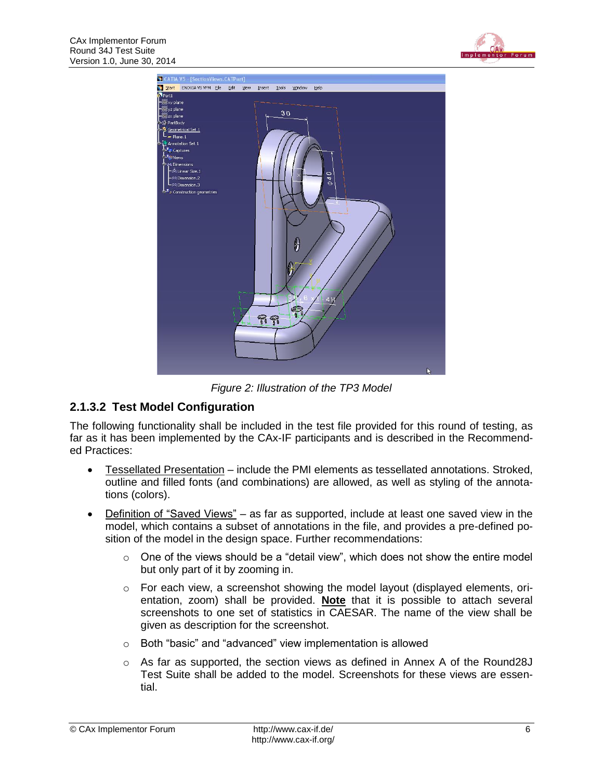



*Figure 2: Illustration of the TP3 Model*

### <span id="page-5-0"></span>**2.1.3.2 Test Model Configuration**

The following functionality shall be included in the test file provided for this round of testing, as far as it has been implemented by the CAx-IF participants and is described in the Recommended Practices:

- Tessellated Presentation include the PMI elements as tessellated annotations. Stroked, outline and filled fonts (and combinations) are allowed, as well as styling of the annotations (colors).
- Definition of "Saved Views" as far as supported, include at least one saved view in the model, which contains a subset of annotations in the file, and provides a pre-defined position of the model in the design space. Further recommendations:
	- $\circ$  One of the views should be a "detail view", which does not show the entire model but only part of it by zooming in.
	- $\circ$  For each view, a screenshot showing the model layout (displayed elements, orientation, zoom) shall be provided. **Note** that it is possible to attach several screenshots to one set of statistics in CAESAR. The name of the view shall be given as description for the screenshot.
	- o Both "basic" and "advanced" view implementation is allowed
	- $\circ$  As far as supported, the section views as defined in Annex A of the Round28J Test Suite shall be added to the model. Screenshots for these views are essential.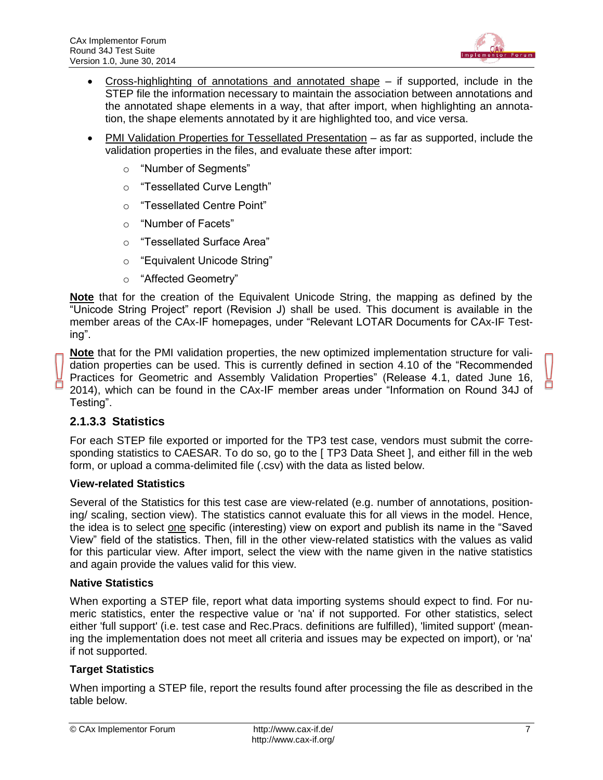

- Cross-highlighting of annotations and annotated shape if supported, include in the STEP file the information necessary to maintain the association between annotations and the annotated shape elements in a way, that after import, when highlighting an annotation, the shape elements annotated by it are highlighted too, and vice versa.
- PMI Validation Properties for Tessellated Presentation as far as supported, include the validation properties in the files, and evaluate these after import:
	- o "Number of Segments"
	- o "Tessellated Curve Length"
	- o "Tessellated Centre Point"
	- o "Number of Facets"
	- o "Tessellated Surface Area"
	- o "Equivalent Unicode String"
	- o "Affected Geometry"

**Note** that for the creation of the Equivalent Unicode String, the mapping as defined by the "Unicode String Project" report (Revision J) shall be used. This document is available in the member areas of the CAx-IF homepages, under "Relevant LOTAR Documents for CAx-IF Testing".

**Note** that for the PMI validation properties, the new optimized implementation structure for validation properties can be used. This is currently defined in section 4.10 of the "Recommended Practices for Geometric and Assembly Validation Properties" (Release 4.1, dated June 16, 2014), which can be found in the CAx-IF member areas under "Information on Round 34J of Testing".

### **2.1.3.3 Statistics**

For each STEP file exported or imported for the TP3 test case, vendors must submit the corresponding statistics to CAESAR. To do so, go to the [ TP3 Data Sheet ], and either fill in the web form, or upload a comma-delimited file (.csv) with the data as listed below.

#### **View-related Statistics**

Several of the Statistics for this test case are view-related (e.g. number of annotations, positioning/ scaling, section view). The statistics cannot evaluate this for all views in the model. Hence, the idea is to select one specific (interesting) view on export and publish its name in the "Saved View" field of the statistics. Then, fill in the other view-related statistics with the values as valid for this particular view. After import, select the view with the name given in the native statistics and again provide the values valid for this view.

#### **Native Statistics**

When exporting a STEP file, report what data importing systems should expect to find. For numeric statistics, enter the respective value or 'na' if not supported. For other statistics, select either 'full support' (i.e. test case and Rec.Pracs. definitions are fulfilled), 'limited support' (meaning the implementation does not meet all criteria and issues may be expected on import), or 'na' if not supported.

#### **Target Statistics**

When importing a STEP file, report the results found after processing the file as described in the table below.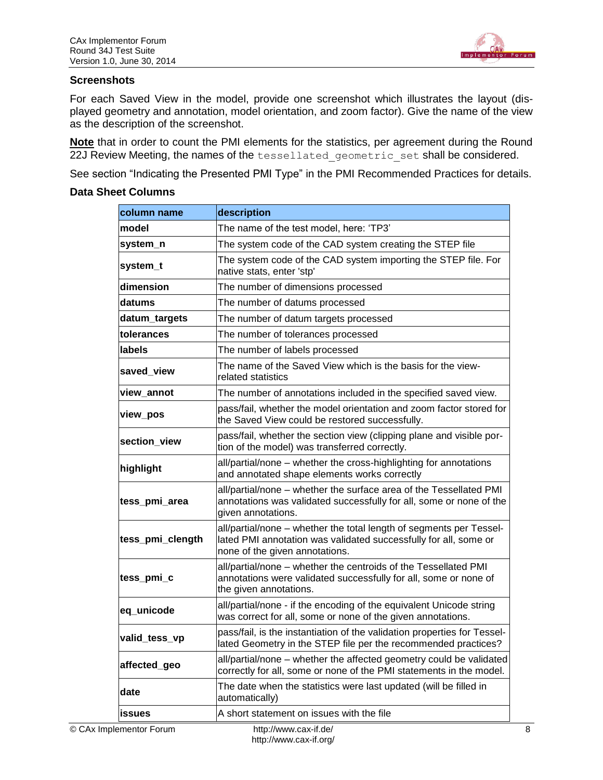

#### **Screenshots**

For each Saved View in the model, provide one screenshot which illustrates the layout (displayed geometry and annotation, model orientation, and zoom factor). Give the name of the view as the description of the screenshot.

**Note** that in order to count the PMI elements for the statistics, per agreement during the Round 22J Review Meeting, the names of the tessellated geometric set shall be considered.

See section "Indicating the Presented PMI Type" in the PMI Recommended Practices for details.

| column name      | description                                                                                                                                                               |
|------------------|---------------------------------------------------------------------------------------------------------------------------------------------------------------------------|
| lmodel           | The name of the test model, here: 'TP3'                                                                                                                                   |
| system_n         | The system code of the CAD system creating the STEP file                                                                                                                  |
| system_t         | The system code of the CAD system importing the STEP file. For<br>native stats, enter 'stp'                                                                               |
| dimension        | The number of dimensions processed                                                                                                                                        |
| datums           | The number of datums processed                                                                                                                                            |
| datum_targets    | The number of datum targets processed                                                                                                                                     |
| tolerances       | The number of tolerances processed                                                                                                                                        |
| labels           | The number of labels processed                                                                                                                                            |
| saved_view       | The name of the Saved View which is the basis for the view-<br>related statistics                                                                                         |
| view_annot       | The number of annotations included in the specified saved view.                                                                                                           |
| view_pos         | pass/fail, whether the model orientation and zoom factor stored for<br>the Saved View could be restored successfully.                                                     |
| section_view     | pass/fail, whether the section view (clipping plane and visible por-<br>tion of the model) was transferred correctly.                                                     |
| highlight        | all/partial/none - whether the cross-highlighting for annotations<br>and annotated shape elements works correctly                                                         |
| tess_pmi_area    | all/partial/none - whether the surface area of the Tessellated PMI<br>annotations was validated successfully for all, some or none of the<br>given annotations.           |
| tess_pmi_clength | all/partial/none - whether the total length of segments per Tessel-<br>lated PMI annotation was validated successfully for all, some or<br>none of the given annotations. |
| tess_pmi_c       | all/partial/none – whether the centroids of the Tessellated PMI<br>annotations were validated successfully for all, some or none of<br>the given annotations.             |
| eq_unicode       | all/partial/none - if the encoding of the equivalent Unicode string<br>was correct for all, some or none of the given annotations.                                        |
| valid_tess_vp    | pass/fail, is the instantiation of the validation properties for Tessel-<br>lated Geometry in the STEP file per the recommended practices?                                |
| affected_geo     | all/partial/none - whether the affected geometry could be validated<br>correctly for all, some or none of the PMI statements in the model.                                |
| date             | The date when the statistics were last updated (will be filled in<br>automatically)                                                                                       |
| <b>ISSUES</b>    | A short statement on issues with the file                                                                                                                                 |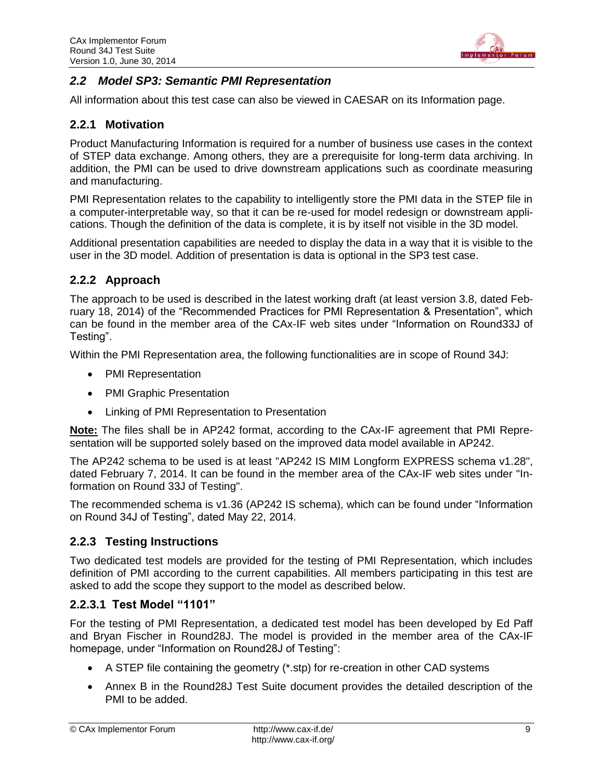

### <span id="page-8-0"></span>*2.2 Model SP3: Semantic PMI Representation*

All information about this test case can also be viewed in CAESAR on its Information page.

### **2.2.1 Motivation**

Product Manufacturing Information is required for a number of business use cases in the context of STEP data exchange. Among others, they are a prerequisite for long-term data archiving. In addition, the PMI can be used to drive downstream applications such as coordinate measuring and manufacturing.

PMI Representation relates to the capability to intelligently store the PMI data in the STEP file in a computer-interpretable way, so that it can be re-used for model redesign or downstream applications. Though the definition of the data is complete, it is by itself not visible in the 3D model.

Additional presentation capabilities are needed to display the data in a way that it is visible to the user in the 3D model. Addition of presentation is data is optional in the SP3 test case.

### **2.2.2 Approach**

The approach to be used is described in the latest working draft (at least version 3.8, dated February 18, 2014) of the "Recommended Practices for PMI Representation & Presentation", which can be found in the member area of the CAx-IF web sites under "Information on Round33J of Testing".

Within the PMI Representation area, the following functionalities are in scope of Round 34J:

- PMI Representation
- PMI Graphic Presentation
- Linking of PMI Representation to Presentation

**Note:** The files shall be in AP242 format, according to the CAx-IF agreement that PMI Representation will be supported solely based on the improved data model available in AP242.

The AP242 schema to be used is at least "AP242 IS MIM Longform EXPRESS schema v1.28", dated February 7, 2014. It can be found in the member area of the CAx-IF web sites under "Information on Round 33J of Testing".

The recommended schema is v1.36 (AP242 IS schema), which can be found under "Information on Round 34J of Testing", dated May 22, 2014.

### **2.2.3 Testing Instructions**

Two dedicated test models are provided for the testing of PMI Representation, which includes definition of PMI according to the current capabilities. All members participating in this test are asked to add the scope they support to the model as described below.

### **2.2.3.1 Test Model "1101"**

For the testing of PMI Representation, a dedicated test model has been developed by Ed Paff and Bryan Fischer in Round28J. The model is provided in the member area of the CAx-IF homepage, under "Information on Round28J of Testing":

- A STEP file containing the geometry (\*.stp) for re-creation in other CAD systems
- Annex B in the Round28J Test Suite document provides the detailed description of the PMI to be added.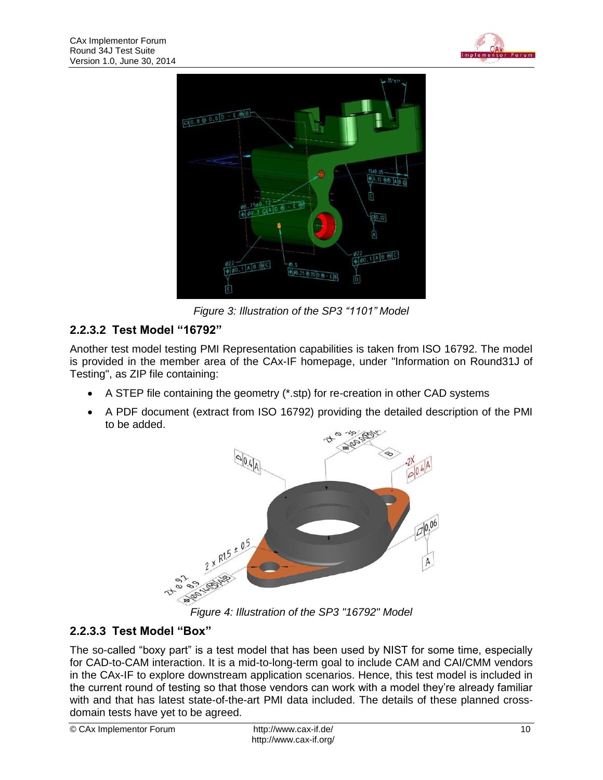



*Figure 3: Illustration of the SP3 "1101" Model*

### <span id="page-9-0"></span>**2.2.3.2 Test Model "16792"**

Another test model testing PMI Representation capabilities is taken from ISO 16792. The model is provided in the member area of the CAx-IF homepage, under "Information on Round31J of Testing", as ZIP file containing:

- A STEP file containing the geometry (\*.stp) for re-creation in other CAD systems
- A PDF document (extract from ISO 16792) providing the detailed description of the PMI to be added.



*Figure 4: Illustration of the SP3 "16792" Model*

### <span id="page-9-1"></span>**2.2.3.3 Test Model "Box"**

The so-called "boxy part" is a test model that has been used by NIST for some time, especially for CAD-to-CAM interaction. It is a mid-to-long-term goal to include CAM and CAI/CMM vendors in the CAx-IF to explore downstream application scenarios. Hence, this test model is included in the current round of testing so that those vendors can work with a model they're already familiar with and that has latest state-of-the-art PMI data included. The details of these planned crossdomain tests have yet to be agreed.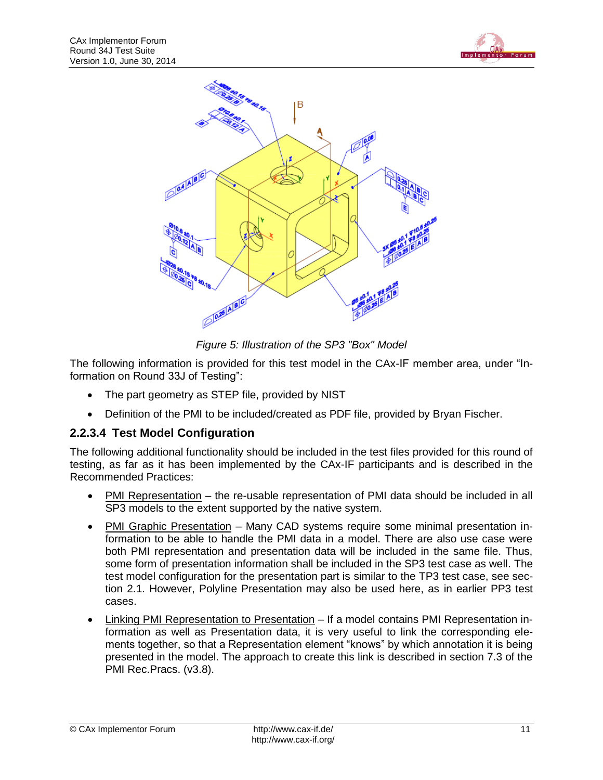



*Figure 5: Illustration of the SP3 "Box" Model*

<span id="page-10-0"></span>The following information is provided for this test model in the CAx-IF member area, under "Information on Round 33J of Testing":

- The part geometry as STEP file, provided by NIST
- Definition of the PMI to be included/created as PDF file, provided by Bryan Fischer.

### **2.2.3.4 Test Model Configuration**

The following additional functionality should be included in the test files provided for this round of testing, as far as it has been implemented by the CAx-IF participants and is described in the Recommended Practices:

- PMI Representation the re-usable representation of PMI data should be included in all SP3 models to the extent supported by the native system.
- PMI Graphic Presentation Many CAD systems require some minimal presentation information to be able to handle the PMI data in a model. There are also use case were both PMI representation and presentation data will be included in the same file. Thus, some form of presentation information shall be included in the SP3 test case as well. The test model configuration for the presentation part is similar to the TP3 test case, see section [2.1.](#page-4-1) However, Polyline Presentation may also be used here, as in earlier PP3 test cases.
- Linking PMI Representation to Presentation If a model contains PMI Representation information as well as Presentation data, it is very useful to link the corresponding elements together, so that a Representation element "knows" by which annotation it is being presented in the model. The approach to create this link is described in section 7.3 of the PMI Rec.Pracs. (v3.8).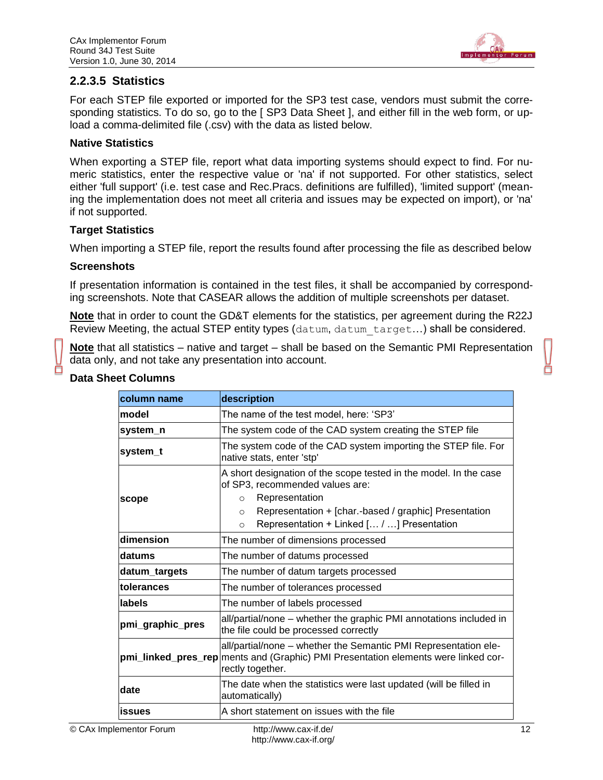

### **2.2.3.5 Statistics**

For each STEP file exported or imported for the SP3 test case, vendors must submit the corresponding statistics. To do so, go to the [ SP3 Data Sheet ], and either fill in the web form, or upload a comma-delimited file (.csv) with the data as listed below.

#### **Native Statistics**

When exporting a STEP file, report what data importing systems should expect to find. For numeric statistics, enter the respective value or 'na' if not supported. For other statistics, select either 'full support' (i.e. test case and Rec.Pracs. definitions are fulfilled), 'limited support' (meaning the implementation does not meet all criteria and issues may be expected on import), or 'na' if not supported.

#### **Target Statistics**

When importing a STEP file, report the results found after processing the file as described below

#### **Screenshots**

If presentation information is contained in the test files, it shall be accompanied by corresponding screenshots. Note that CASEAR allows the addition of multiple screenshots per dataset.

**Note** that in order to count the GD&T elements for the statistics, per agreement during the R22J Review Meeting, the actual STEP entity types (datum, datum target...) shall be considered.

**Note** that all statistics – native and target – shall be based on the Semantic PMI Representation data only, and not take any presentation into account.

| column name      | description                                                                                                                                                                                                                                                    |
|------------------|----------------------------------------------------------------------------------------------------------------------------------------------------------------------------------------------------------------------------------------------------------------|
| model            | The name of the test model, here: 'SP3'                                                                                                                                                                                                                        |
| system n         | The system code of the CAD system creating the STEP file                                                                                                                                                                                                       |
| system_t         | The system code of the CAD system importing the STEP file. For<br>native stats, enter 'stp'                                                                                                                                                                    |
| scope            | A short designation of the scope tested in the model. In the case<br>of SP3, recommended values are:<br>Representation<br>$\circ$<br>Representation + [char.-based / graphic] Presentation<br>$\circ$<br>Representation + Linked [ / ] Presentation<br>$\circ$ |
| dimension        | The number of dimensions processed                                                                                                                                                                                                                             |
| datums           | The number of datums processed                                                                                                                                                                                                                                 |
| datum targets    | The number of datum targets processed                                                                                                                                                                                                                          |
| tolerances       | The number of tolerances processed                                                                                                                                                                                                                             |
| labels           | The number of labels processed                                                                                                                                                                                                                                 |
| pmi_graphic_pres | all/partial/none – whether the graphic PMI annotations included in<br>the file could be processed correctly                                                                                                                                                    |
|                  | all/partial/none - whether the Semantic PMI Representation ele-<br>pmi_linked_pres_rep ments and (Graphic) PMI Presentation elements were linked cor-<br>rectly together.                                                                                      |
| date             | The date when the statistics were last updated (will be filled in<br>automatically)                                                                                                                                                                            |
| issues           | A short statement on issues with the file                                                                                                                                                                                                                      |
|                  |                                                                                                                                                                                                                                                                |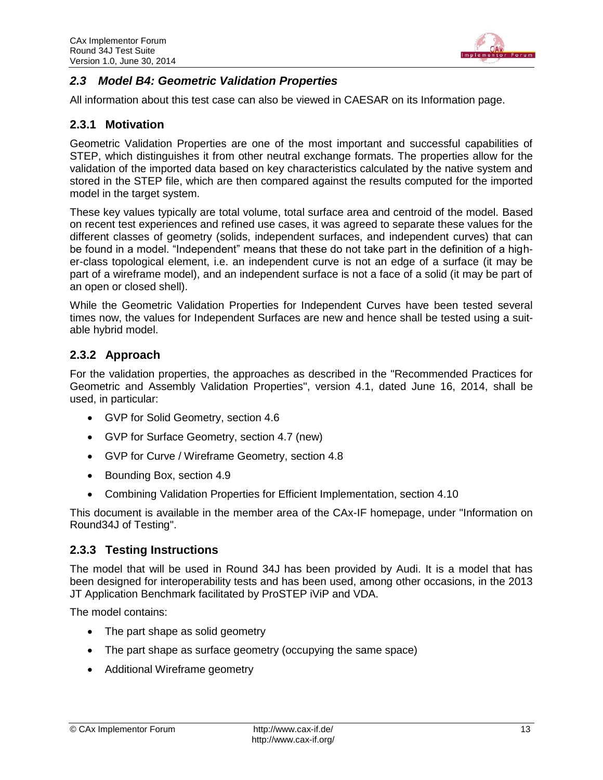

### <span id="page-12-0"></span>*2.3 Model B4: Geometric Validation Properties*

All information about this test case can also be viewed in CAESAR on its Information page.

### **2.3.1 Motivation**

Geometric Validation Properties are one of the most important and successful capabilities of STEP, which distinguishes it from other neutral exchange formats. The properties allow for the validation of the imported data based on key characteristics calculated by the native system and stored in the STEP file, which are then compared against the results computed for the imported model in the target system.

These key values typically are total volume, total surface area and centroid of the model. Based on recent test experiences and refined use cases, it was agreed to separate these values for the different classes of geometry (solids, independent surfaces, and independent curves) that can be found in a model. "Independent" means that these do not take part in the definition of a higher-class topological element, i.e. an independent curve is not an edge of a surface (it may be part of a wireframe model), and an independent surface is not a face of a solid (it may be part of an open or closed shell).

While the Geometric Validation Properties for Independent Curves have been tested several times now, the values for Independent Surfaces are new and hence shall be tested using a suitable hybrid model.

### **2.3.2 Approach**

For the validation properties, the approaches as described in the "Recommended Practices for Geometric and Assembly Validation Properties", version 4.1, dated June 16, 2014, shall be used, in particular:

- GVP for Solid Geometry, section 4.6
- GVP for Surface Geometry, section 4.7 (new)
- GVP for Curve / Wireframe Geometry, section 4.8
- Bounding Box, section 4.9
- Combining Validation Properties for Efficient Implementation, section 4.10

This document is available in the member area of the CAx-IF homepage, under "Information on Round34J of Testing".

### **2.3.3 Testing Instructions**

The model that will be used in Round 34J has been provided by Audi. It is a model that has been designed for interoperability tests and has been used, among other occasions, in the 2013 JT Application Benchmark facilitated by ProSTEP iViP and VDA.

The model contains:

- The part shape as solid geometry
- The part shape as surface geometry (occupying the same space)
- Additional Wireframe geometry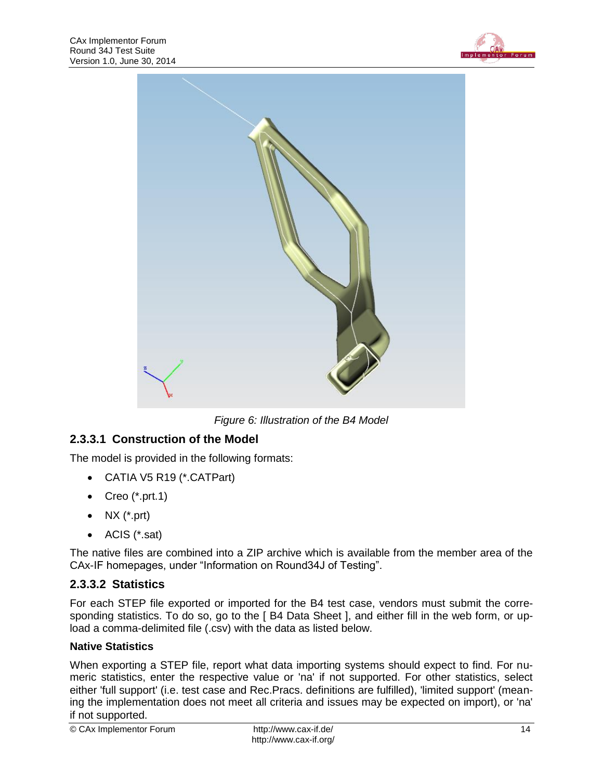



*Figure 6: Illustration of the B4 Model*

### <span id="page-13-0"></span>**2.3.3.1 Construction of the Model**

The model is provided in the following formats:

- CATIA V5 R19 (\*.CATPart)
- Creo  $(*.prt.1)$
- $\bullet$  NX (\*.prt)
- ACIS (\*.sat)

The native files are combined into a ZIP archive which is available from the member area of the CAx-IF homepages, under "Information on Round34J of Testing".

### **2.3.3.2 Statistics**

For each STEP file exported or imported for the B4 test case, vendors must submit the corresponding statistics. To do so, go to the [ B4 Data Sheet ], and either fill in the web form, or upload a comma-delimited file (.csv) with the data as listed below.

### **Native Statistics**

When exporting a STEP file, report what data importing systems should expect to find. For numeric statistics, enter the respective value or 'na' if not supported. For other statistics, select either 'full support' (i.e. test case and Rec.Pracs. definitions are fulfilled), 'limited support' (meaning the implementation does not meet all criteria and issues may be expected on import), or 'na' if not supported.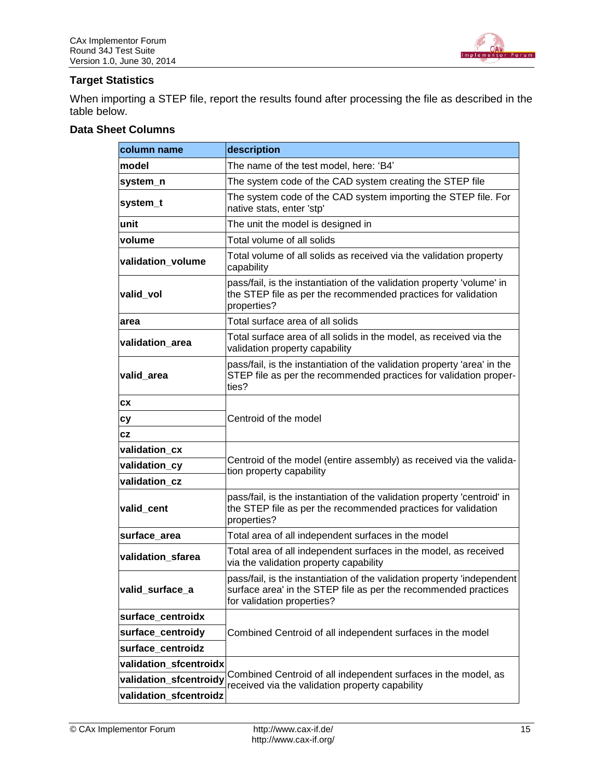

#### **Target Statistics**

When importing a STEP file, report the results found after processing the file as described in the table below.

| column name            | description                                                                                                                                                              |
|------------------------|--------------------------------------------------------------------------------------------------------------------------------------------------------------------------|
| lmodel                 | The name of the test model, here: 'B4'                                                                                                                                   |
| system_n               | The system code of the CAD system creating the STEP file                                                                                                                 |
| system_t               | The system code of the CAD system importing the STEP file. For<br>native stats, enter 'stp'                                                                              |
| unit                   | The unit the model is designed in                                                                                                                                        |
| volume                 | Total volume of all solids                                                                                                                                               |
| validation volume      | Total volume of all solids as received via the validation property<br>capability                                                                                         |
| valid_vol              | pass/fail, is the instantiation of the validation property 'volume' in<br>the STEP file as per the recommended practices for validation<br>properties?                   |
| area                   | Total surface area of all solids                                                                                                                                         |
| validation_area        | Total surface area of all solids in the model, as received via the<br>validation property capability                                                                     |
| valid area             | pass/fail, is the instantiation of the validation property 'area' in the<br>STEP file as per the recommended practices for validation proper-<br>ties?                   |
| <b>CX</b>              |                                                                                                                                                                          |
| сy                     | Centroid of the model                                                                                                                                                    |
| CZ                     |                                                                                                                                                                          |
| validation_cx          | Centroid of the model (entire assembly) as received via the valida-<br>tion property capability                                                                          |
| validation_cy          |                                                                                                                                                                          |
| validation cz          |                                                                                                                                                                          |
| valid_cent             | pass/fail, is the instantiation of the validation property 'centroid' in<br>the STEP file as per the recommended practices for validation<br>properties?                 |
| surface_area           | Total area of all independent surfaces in the model                                                                                                                      |
| validation_sfarea      | Total area of all independent surfaces in the model, as received<br>via the validation property capability                                                               |
| valid_surface_a        | pass/fail, is the instantiation of the validation property 'independent<br>surface area' in the STEP file as per the recommended practices<br>for validation properties? |
| surface_centroidx      |                                                                                                                                                                          |
| surface_centroidy      | Combined Centroid of all independent surfaces in the model                                                                                                               |
| surface centroidz      |                                                                                                                                                                          |
| validation_sfcentroidx |                                                                                                                                                                          |
| validation_sfcentroidy | Combined Centroid of all independent surfaces in the model, as<br>received via the validation property capability                                                        |
| validation_sfcentroidz |                                                                                                                                                                          |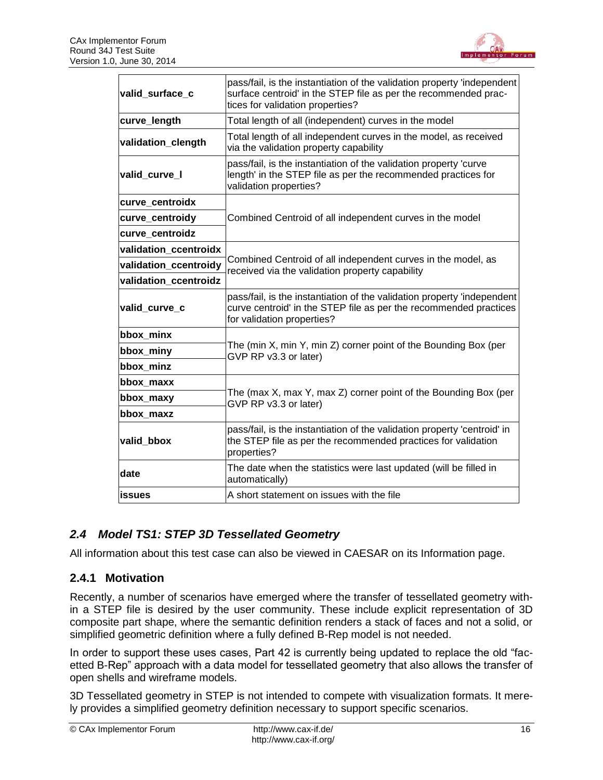

| valid_surface_c       | pass/fail, is the instantiation of the validation property 'independent<br>surface centroid' in the STEP file as per the recommended prac-<br>tices for validation properties? |
|-----------------------|--------------------------------------------------------------------------------------------------------------------------------------------------------------------------------|
| curve_length          | Total length of all (independent) curves in the model                                                                                                                          |
| validation_clength    | Total length of all independent curves in the model, as received<br>via the validation property capability                                                                     |
| valid_curve_I         | pass/fail, is the instantiation of the validation property 'curve<br>length' in the STEP file as per the recommended practices for<br>validation properties?                   |
| curve centroidx       |                                                                                                                                                                                |
| curve_centroidy       | Combined Centroid of all independent curves in the model                                                                                                                       |
| curve_centroidz       |                                                                                                                                                                                |
| validation ccentroidx |                                                                                                                                                                                |
| validation_ccentroidy | Combined Centroid of all independent curves in the model, as<br>received via the validation property capability                                                                |
| validation_ccentroidz |                                                                                                                                                                                |
| valid_curve_c         | pass/fail, is the instantiation of the validation property 'independent<br>curve centroid' in the STEP file as per the recommended practices<br>for validation properties?     |
| bbox_minx             |                                                                                                                                                                                |
| bbox_miny             | The (min X, min Y, min Z) corner point of the Bounding Box (per<br>GVP RP v3.3 or later)                                                                                       |
| bbox minz             |                                                                                                                                                                                |
| bbox maxx             |                                                                                                                                                                                |
| bbox_maxy             | The (max X, max Y, max Z) corner point of the Bounding Box (per<br>GVP RP v3.3 or later)                                                                                       |
| bbox_maxz             |                                                                                                                                                                                |
| valid_bbox            | pass/fail, is the instantiation of the validation property 'centroid' in<br>the STEP file as per the recommended practices for validation<br>properties?                       |
| date                  | The date when the statistics were last updated (will be filled in<br>automatically)                                                                                            |
| <b>issues</b>         | A short statement on issues with the file                                                                                                                                      |

### <span id="page-15-0"></span>*2.4 Model TS1: STEP 3D Tessellated Geometry*

All information about this test case can also be viewed in CAESAR on its Information page.

### **2.4.1 Motivation**

Recently, a number of scenarios have emerged where the transfer of tessellated geometry within a STEP file is desired by the user community. These include explicit representation of 3D composite part shape, where the semantic definition renders a stack of faces and not a solid, or simplified geometric definition where a fully defined B-Rep model is not needed.

In order to support these uses cases, Part 42 is currently being updated to replace the old "facetted B-Rep" approach with a data model for tessellated geometry that also allows the transfer of open shells and wireframe models.

3D Tessellated geometry in STEP is not intended to compete with visualization formats. It merely provides a simplified geometry definition necessary to support specific scenarios.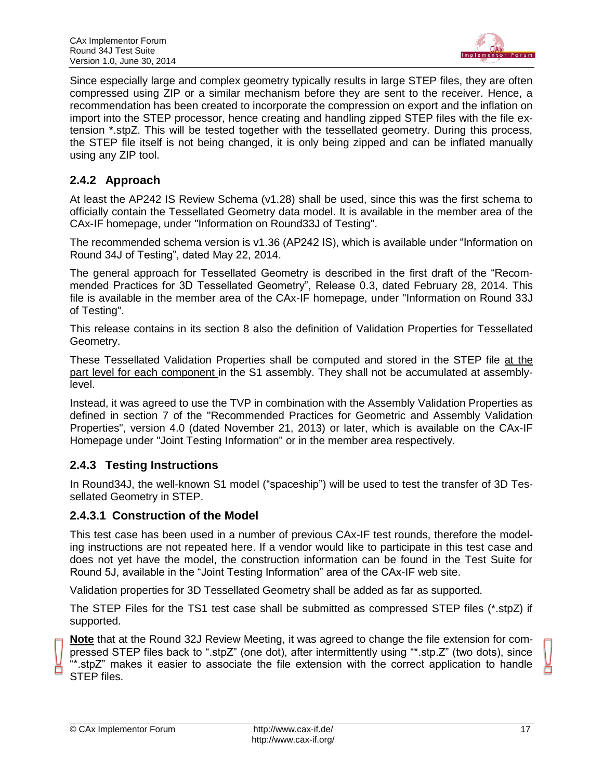

Since especially large and complex geometry typically results in large STEP files, they are often compressed using ZIP or a similar mechanism before they are sent to the receiver. Hence, a recommendation has been created to incorporate the compression on export and the inflation on import into the STEP processor, hence creating and handling zipped STEP files with the file extension \*.stpZ. This will be tested together with the tessellated geometry. During this process, the STEP file itself is not being changed, it is only being zipped and can be inflated manually using any ZIP tool.

### **2.4.2 Approach**

At least the AP242 IS Review Schema (v1.28) shall be used, since this was the first schema to officially contain the Tessellated Geometry data model. It is available in the member area of the CAx-IF homepage, under "Information on Round33J of Testing".

The recommended schema version is v1.36 (AP242 IS), which is available under "Information on Round 34J of Testing", dated May 22, 2014.

The general approach for Tessellated Geometry is described in the first draft of the "Recommended Practices for 3D Tessellated Geometry", Release 0.3, dated February 28, 2014. This file is available in the member area of the CAx-IF homepage, under "Information on Round 33J of Testing".

This release contains in its section 8 also the definition of Validation Properties for Tessellated Geometry.

These Tessellated Validation Properties shall be computed and stored in the STEP file at the part level for each component in the S1 assembly. They shall not be accumulated at assemblylevel.

Instead, it was agreed to use the TVP in combination with the Assembly Validation Properties as defined in section 7 of the "Recommended Practices for Geometric and Assembly Validation Properties", version 4.0 (dated November 21, 2013) or later, which is available on the CAx-IF Homepage under "Joint Testing Information" or in the member area respectively.

### **2.4.3 Testing Instructions**

In Round34J, the well-known S1 model ("spaceship") will be used to test the transfer of 3D Tessellated Geometry in STEP.

### **2.4.3.1 Construction of the Model**

This test case has been used in a number of previous CAx-IF test rounds, therefore the modeling instructions are not repeated here. If a vendor would like to participate in this test case and does not yet have the model, the construction information can be found in the Test Suite for Round 5J, available in the "Joint Testing Information" area of the CAx-IF web site.

Validation properties for 3D Tessellated Geometry shall be added as far as supported.

The STEP Files for the TS1 test case shall be submitted as compressed STEP files (\*.stpZ) if supported.

**Note** that at the Round 32J Review Meeting, it was agreed to change the file extension for compressed STEP files back to ".stpZ" (one dot), after intermittently using "\*.stp.Z" (two dots), since "\*.stpZ" makes it easier to associate the file extension with the correct application to handle STEP files.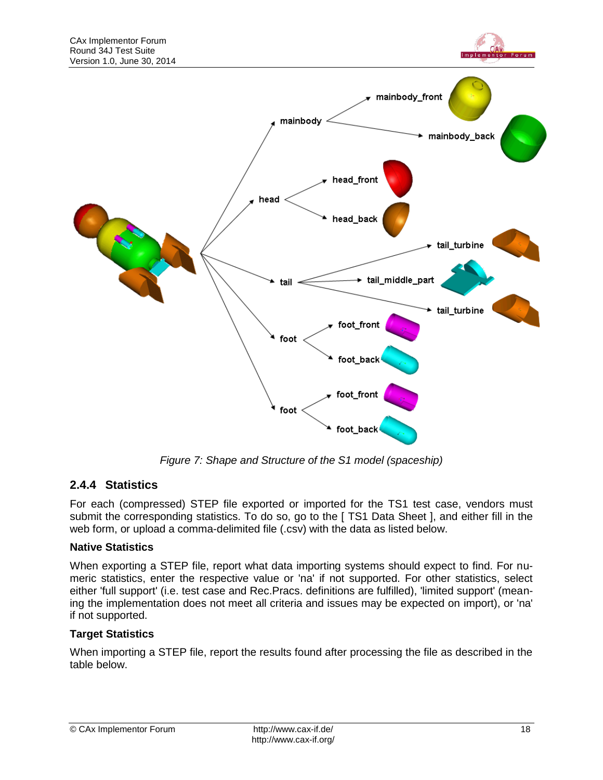



*Figure 7: Shape and Structure of the S1 model (spaceship)*

### <span id="page-17-0"></span>**2.4.4 Statistics**

For each (compressed) STEP file exported or imported for the TS1 test case, vendors must submit the corresponding statistics. To do so, go to the [TS1 Data Sheet ], and either fill in the web form, or upload a comma-delimited file (.csv) with the data as listed below.

#### **Native Statistics**

When exporting a STEP file, report what data importing systems should expect to find. For numeric statistics, enter the respective value or 'na' if not supported. For other statistics, select either 'full support' (i.e. test case and Rec.Pracs. definitions are fulfilled), 'limited support' (meaning the implementation does not meet all criteria and issues may be expected on import), or 'na' if not supported.

#### **Target Statistics**

When importing a STEP file, report the results found after processing the file as described in the table below.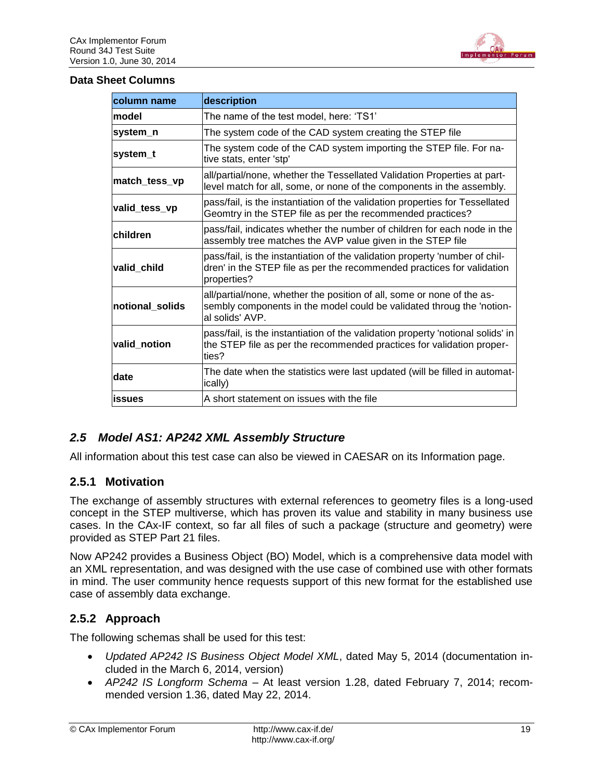

#### **Data Sheet Columns**

| <b>column name</b> | description                                                                                                                                                          |
|--------------------|----------------------------------------------------------------------------------------------------------------------------------------------------------------------|
| model              | The name of the test model, here: 'TS1'                                                                                                                              |
| system n           | The system code of the CAD system creating the STEP file                                                                                                             |
| system_t           | The system code of the CAD system importing the STEP file. For na-<br>tive stats, enter 'stp'                                                                        |
| match_tess_vp      | all/partial/none, whether the Tessellated Validation Properties at part-<br>level match for all, some, or none of the components in the assembly.                    |
| valid_tess_vp      | pass/fail, is the instantiation of the validation properties for Tessellated<br>Geomtry in the STEP file as per the recommended practices?                           |
| children           | pass/fail, indicates whether the number of children for each node in the<br>assembly tree matches the AVP value given in the STEP file                               |
| valid child        | pass/fail, is the instantiation of the validation property 'number of chil-<br>dren' in the STEP file as per the recommended practices for validation<br>properties? |
| notional solids    | all/partial/none, whether the position of all, some or none of the as-<br>sembly components in the model could be validated throug the 'notion-<br>al solids' AVP.   |
| valid_notion       | pass/fail, is the instantiation of the validation property 'notional solids' in<br>the STEP file as per the recommended practices for validation proper-<br>ties?    |
| date               | The date when the statistics were last updated (will be filled in automat-<br>ically)                                                                                |
| lissues            | A short statement on issues with the file                                                                                                                            |

### <span id="page-18-0"></span>*2.5 Model AS1: AP242 XML Assembly Structure*

All information about this test case can also be viewed in CAESAR on its Information page.

### **2.5.1 Motivation**

The exchange of assembly structures with external references to geometry files is a long-used concept in the STEP multiverse, which has proven its value and stability in many business use cases. In the CAx-IF context, so far all files of such a package (structure and geometry) were provided as STEP Part 21 files.

Now AP242 provides a Business Object (BO) Model, which is a comprehensive data model with an XML representation, and was designed with the use case of combined use with other formats in mind. The user community hence requests support of this new format for the established use case of assembly data exchange.

### **2.5.2 Approach**

The following schemas shall be used for this test:

- *Updated AP242 IS Business Object Model XML*, dated May 5, 2014 (documentation included in the March 6, 2014, version)
- *AP242 IS Longform Schema* At least version 1.28, dated February 7, 2014; recommended version 1.36, dated May 22, 2014.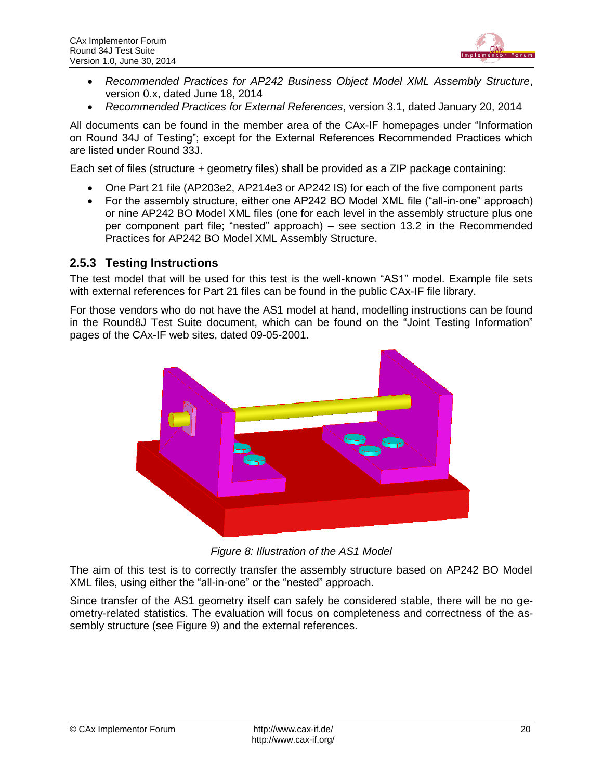

- *Recommended Practices for AP242 Business Object Model XML Assembly Structure*, version 0.x, dated June 18, 2014
- *Recommended Practices for External References*, version 3.1, dated January 20, 2014

All documents can be found in the member area of the CAx-IF homepages under "Information on Round 34J of Testing"; except for the External References Recommended Practices which are listed under Round 33J.

Each set of files (structure + geometry files) shall be provided as a ZIP package containing:

- One Part 21 file (AP203e2, AP214e3 or AP242 IS) for each of the five component parts
- For the assembly structure, either one AP242 BO Model XML file ("all-in-one" approach) or nine AP242 BO Model XML files (one for each level in the assembly structure plus one per component part file; "nested" approach) – see section 13.2 in the Recommended Practices for AP242 BO Model XML Assembly Structure.

#### **2.5.3 Testing Instructions**

The test model that will be used for this test is the well-known "AS1" model. Example file sets with external references for Part 21 files can be found in the public CAx-IF file library.

For those vendors who do not have the AS1 model at hand, modelling instructions can be found in the Round8J Test Suite document, which can be found on the "Joint Testing Information" pages of the CAx-IF web sites, dated 09-05-2001.



*Figure 8: Illustration of the AS1 Model*

<span id="page-19-0"></span>The aim of this test is to correctly transfer the assembly structure based on AP242 BO Model XML files, using either the "all-in-one" or the "nested" approach.

Since transfer of the AS1 geometry itself can safely be considered stable, there will be no geometry-related statistics. The evaluation will focus on completeness and correctness of the assembly structure (see [Figure 9\)](#page-20-0) and the external references.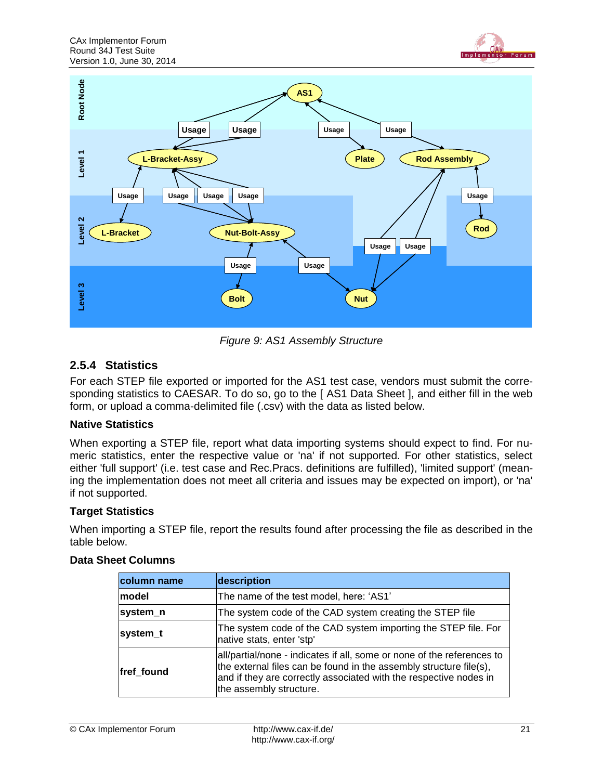



*Figure 9: AS1 Assembly Structure*

### <span id="page-20-0"></span>**2.5.4 Statistics**

For each STEP file exported or imported for the AS1 test case, vendors must submit the corresponding statistics to CAESAR. To do so, go to the [AS1 Data Sheet ], and either fill in the web form, or upload a comma-delimited file (.csv) with the data as listed below.

#### **Native Statistics**

When exporting a STEP file, report what data importing systems should expect to find. For numeric statistics, enter the respective value or 'na' if not supported. For other statistics, select either 'full support' (i.e. test case and Rec.Pracs. definitions are fulfilled), 'limited support' (meaning the implementation does not meet all criteria and issues may be expected on import), or 'na' if not supported.

#### **Target Statistics**

When importing a STEP file, report the results found after processing the file as described in the table below.

| column name | description                                                                                                                                                                                                                                  |
|-------------|----------------------------------------------------------------------------------------------------------------------------------------------------------------------------------------------------------------------------------------------|
| lmodel      | The name of the test model, here: 'AS1'                                                                                                                                                                                                      |
| system_n    | The system code of the CAD system creating the STEP file                                                                                                                                                                                     |
| system_t    | The system code of the CAD system importing the STEP file. For<br>native stats, enter 'stp'                                                                                                                                                  |
| fref found  | all/partial/none - indicates if all, some or none of the references to<br>the external files can be found in the assembly structure file(s),<br>and if they are correctly associated with the respective nodes in<br>the assembly structure. |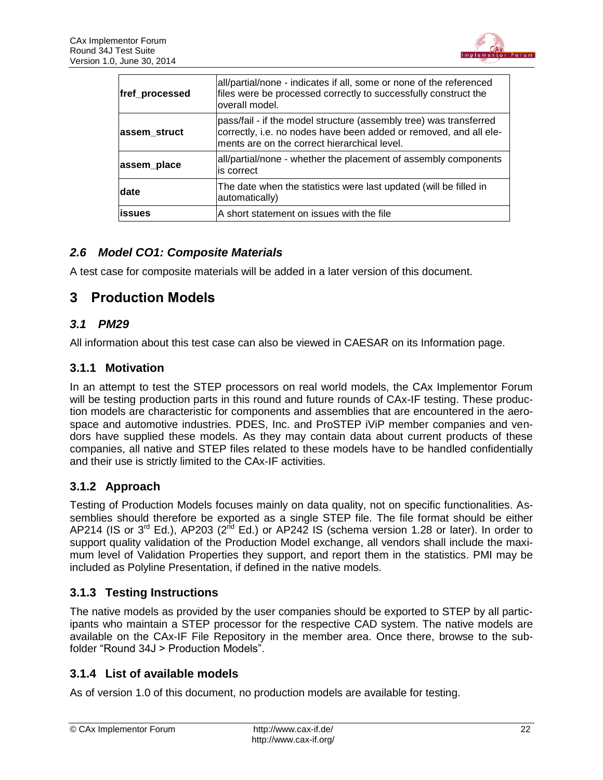

| fref_processed | all/partial/none - indicates if all, some or none of the referenced<br>files were be processed correctly to successfully construct the<br>overall model.                                |
|----------------|-----------------------------------------------------------------------------------------------------------------------------------------------------------------------------------------|
| assem_struct   | pass/fail - if the model structure (assembly tree) was transferred<br>correctly, i.e. no nodes have been added or removed, and all ele-<br>ments are on the correct hierarchical level. |
| assem_place    | all/partial/none - whether the placement of assembly components<br>lis correct                                                                                                          |
| <b>date</b>    | The date when the statistics were last updated (will be filled in<br>automatically)                                                                                                     |
| lissues        | A short statement on issues with the file                                                                                                                                               |

### <span id="page-21-0"></span>*2.6 Model CO1: Composite Materials*

A test case for composite materials will be added in a later version of this document.

### <span id="page-21-1"></span>**3 Production Models**

### <span id="page-21-2"></span>*3.1 PM29*

All information about this test case can also be viewed in CAESAR on its Information page.

### **3.1.1 Motivation**

In an attempt to test the STEP processors on real world models, the CAx Implementor Forum will be testing production parts in this round and future rounds of CAx-IF testing. These production models are characteristic for components and assemblies that are encountered in the aerospace and automotive industries. PDES, Inc. and ProSTEP iViP member companies and vendors have supplied these models. As they may contain data about current products of these companies, all native and STEP files related to these models have to be handled confidentially and their use is strictly limited to the CAx-IF activities.

### **3.1.2 Approach**

Testing of Production Models focuses mainly on data quality, not on specific functionalities. Assemblies should therefore be exported as a single STEP file. The file format should be either AP214 (IS or  $3^{rd}$  Ed.), AP203 ( $2^{nd}$  Ed.) or AP242 IS (schema version 1.28 or later). In order to support quality validation of the Production Model exchange, all vendors shall include the maximum level of Validation Properties they support, and report them in the statistics. PMI may be included as Polyline Presentation, if defined in the native models.

### **3.1.3 Testing Instructions**

The native models as provided by the user companies should be exported to STEP by all participants who maintain a STEP processor for the respective CAD system. The native models are available on the CAx-IF File Repository in the member area. Once there, browse to the subfolder "Round 34J > Production Models".

### **3.1.4 List of available models**

As of version 1.0 of this document, no production models are available for testing.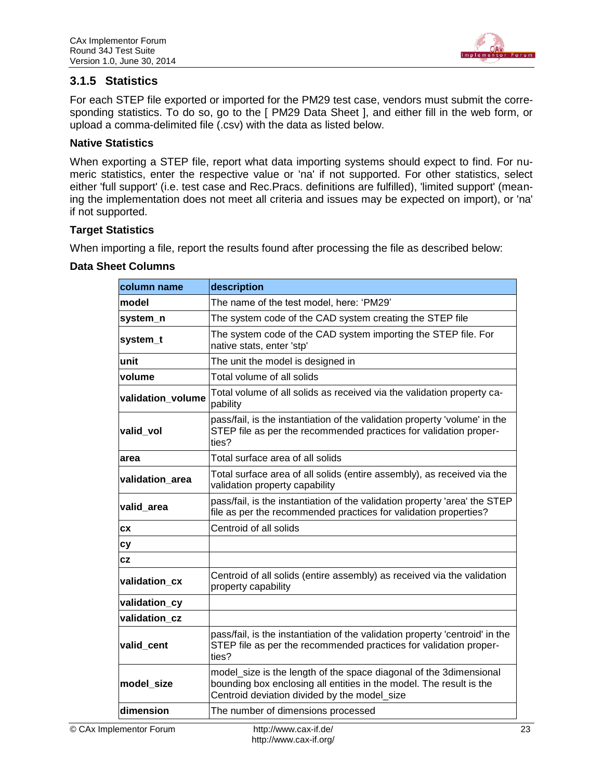

### **3.1.5 Statistics**

For each STEP file exported or imported for the PM29 test case, vendors must submit the corresponding statistics. To do so, go to the [ PM29 Data Sheet ], and either fill in the web form, or upload a comma-delimited file (.csv) with the data as listed below.

#### **Native Statistics**

When exporting a STEP file, report what data importing systems should expect to find. For numeric statistics, enter the respective value or 'na' if not supported. For other statistics, select either 'full support' (i.e. test case and Rec.Pracs. definitions are fulfilled), 'limited support' (meaning the implementation does not meet all criteria and issues may be expected on import), or 'na' if not supported.

#### **Target Statistics**

When importing a file, report the results found after processing the file as described below:

| column name       | description                                                                                                                                                                               |
|-------------------|-------------------------------------------------------------------------------------------------------------------------------------------------------------------------------------------|
| model             | The name of the test model, here: 'PM29'                                                                                                                                                  |
| system_n          | The system code of the CAD system creating the STEP file                                                                                                                                  |
| system_t          | The system code of the CAD system importing the STEP file. For<br>native stats, enter 'stp'                                                                                               |
| unit              | The unit the model is designed in                                                                                                                                                         |
| volume            | Total volume of all solids                                                                                                                                                                |
| validation volume | Total volume of all solids as received via the validation property ca-<br>pability                                                                                                        |
| valid vol         | pass/fail, is the instantiation of the validation property 'volume' in the<br>STEP file as per the recommended practices for validation proper-<br>ties?                                  |
| area              | Total surface area of all solids                                                                                                                                                          |
| validation_area   | Total surface area of all solids (entire assembly), as received via the<br>validation property capability                                                                                 |
| valid area        | pass/fail, is the instantiation of the validation property 'area' the STEP<br>file as per the recommended practices for validation properties?                                            |
| <b>CX</b>         | Centroid of all solids                                                                                                                                                                    |
| <b>cy</b>         |                                                                                                                                                                                           |
| CZ                |                                                                                                                                                                                           |
| validation cx     | Centroid of all solids (entire assembly) as received via the validation<br>property capability                                                                                            |
| validation_cy     |                                                                                                                                                                                           |
| validation cz     |                                                                                                                                                                                           |
| valid cent        | pass/fail, is the instantiation of the validation property 'centroid' in the<br>STEP file as per the recommended practices for validation proper-<br>ties?                                |
| model_size        | model_size is the length of the space diagonal of the 3dimensional<br>bounding box enclosing all entities in the model. The result is the<br>Centroid deviation divided by the model_size |
| dimension         | The number of dimensions processed                                                                                                                                                        |
|                   |                                                                                                                                                                                           |